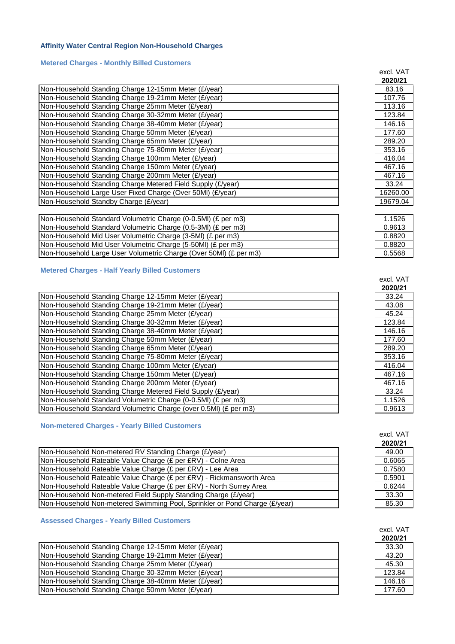# **Affinity Water Central Region Non-Household Charges**

# **Metered Charges - Monthly Billed Customers**

|                                                             | ZUZUIZ I |
|-------------------------------------------------------------|----------|
| Non-Household Standing Charge 12-15mm Meter (£/year)        | 83.16    |
| Non-Household Standing Charge 19-21mm Meter (£/year)        | 107.76   |
| Non-Household Standing Charge 25mm Meter (£/year)           | 113.16   |
| Non-Household Standing Charge 30-32mm Meter (£/year)        | 123.84   |
| Non-Household Standing Charge 38-40mm Meter (£/year)        | 146.16   |
| Non-Household Standing Charge 50mm Meter (£/year)           | 177.60   |
| Non-Household Standing Charge 65mm Meter (£/year)           | 289.20   |
| Non-Household Standing Charge 75-80mm Meter (£/year)        | 353.16   |
| Non-Household Standing Charge 100mm Meter (£/year)          | 416.04   |
| Non-Household Standing Charge 150mm Meter (£/year)          | 467.16   |
| Non-Household Standing Charge 200mm Meter (£/year)          | 467.16   |
| Non-Household Standing Charge Metered Field Supply (£/year) | 33.24    |
| Non-Household Large User Fixed Charge (Over 50MI) (£/year)  | 16260.00 |
| Non-Household Standby Charge (£/year)                       | 19679.04 |
|                                                             |          |

| Non-Household Standard Volumetric Charge (0-0.5MI) (£ per m3)     | 1.1526 |
|-------------------------------------------------------------------|--------|
| Non-Household Standard Volumetric Charge (0.5-3MI) (£ per m3)     | 0.9613 |
| Non-Household Mid User Volumetric Charge (3-5MI) (£ per m3)       | 0.8820 |
| Non-Household Mid User Volumetric Charge (5-50MI) (£ per m3)      | 0.8820 |
| Non-Household Large User Volumetric Charge (Over 50MI) (£ per m3) | 0.5568 |

#### **Metered Charges - Half Yearly Billed Customers**

| Non-Household Standing Charge 12-15mm Meter (£/year)             | 33.24  |
|------------------------------------------------------------------|--------|
| Non-Household Standing Charge 19-21mm Meter (£/year)             | 43.08  |
| Non-Household Standing Charge 25mm Meter (£/year)                | 45.24  |
| Non-Household Standing Charge 30-32mm Meter (£/year)             | 123.84 |
| Non-Household Standing Charge 38-40mm Meter (£/year)             | 146.16 |
| Non-Household Standing Charge 50mm Meter (£/year)                | 177.60 |
| Non-Household Standing Charge 65mm Meter (£/year)                | 289.20 |
| Non-Household Standing Charge 75-80mm Meter (£/year)             | 353.16 |
| Non-Household Standing Charge 100mm Meter (£/year)               | 416.04 |
| Non-Household Standing Charge 150mm Meter (£/year)               | 467.16 |
| Non-Household Standing Charge 200mm Meter (£/year)               | 467.16 |
| Non-Household Standing Charge Metered Field Supply (£/year)      | 33.24  |
| Non-Household Standard Volumetric Charge (0-0.5MI) (£ per m3)    | 1.1526 |
| Non-Household Standard Volumetric Charge (over 0.5MI) (£ per m3) | 0.9613 |
|                                                                  |        |

# **Non-metered Charges - Yearly Billed Customers**

| Non-Household Non-metered RV Standing Charge (£/year)                      | 49.00  |
|----------------------------------------------------------------------------|--------|
| Non-Household Rateable Value Charge (£ per £RV) - Colne Area               | 0.6065 |
| Non-Household Rateable Value Charge (£ per £RV) - Lee Area                 | 0.7580 |
| Non-Household Rateable Value Charge (£ per £RV) - Rickmansworth Area       | 0.5901 |
| Non-Household Rateable Value Charge (£ per £RV) - North Surrey Area        | 0.6244 |
| Non-Household Non-metered Field Supply Standing Charge (£/year)            | 33.30  |
| Non-Household Non-metered Swimming Pool, Sprinkler or Pond Charge (£/year) | 85.30  |

# **Assessed Charges - Yearly Billed Customers**

| Non-Household Standing Charge 12-15mm Meter (£/year) | 33.30  |
|------------------------------------------------------|--------|
| Non-Household Standing Charge 19-21mm Meter (£/year) | 43.20  |
| Non-Household Standing Charge 25mm Meter (£/year)    | 45.30  |
| Non-Household Standing Charge 30-32mm Meter (£/year) | 123.84 |
| Non-Household Standing Charge 38-40mm Meter (£/year) | 146.16 |
| Non-Household Standing Charge 50mm Meter (£/year)    | 177.60 |

| 2020/21  |
|----------|
| 83.16    |
| 107.76   |
| 113.16   |
| 123.84   |
| 146.16   |
| 177.60   |
| 289.20   |
| 353.16   |
| 416.04   |
| 467.16   |
| 467.16   |
| 33.24    |
| 16260.00 |
| 19679.04 |

| 1.1526 |
|--------|
| 0.9613 |
| 0.8820 |
| 0.8820 |
| 0.5568 |

| excl. VAT |
|-----------|
| 2020/21   |
| 33.24     |
| 43.08     |
| 45.24     |
| 123.84    |
| 146.16    |
| 177.60    |
| 289.20    |
| 353.16    |
| 416.04    |
| 467.16    |
| 467.16    |
| 33.24     |
| 1.1526    |
| 0.9613    |

| excl. VAT<br>2020/21 |
|----------------------|
| 49.00                |
| 0.6065               |
| 0.7580               |
| 0.5901               |
| 0.6244               |
| 33.30                |
| 85.30                |

| excl. VAT |
|-----------|
| 2020/21   |
| 33.30     |
| 43.20     |
| 45.30     |
| 123.84    |
| 146.16    |
| 177.60    |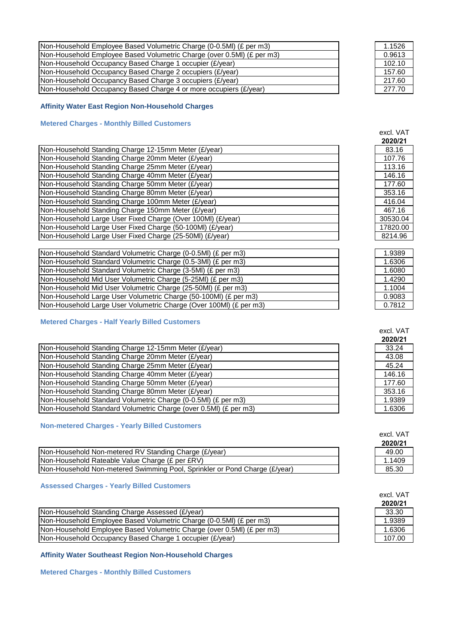| [Non-Household Employee Based Volumetric Charge (0-0.5MI) (£ per m3)    | 1.1526 |
|-------------------------------------------------------------------------|--------|
| [Non-Household Employee Based Volumetric Charge (over 0.5MI) (£ per m3) | 0.9613 |
| Non-Household Occupancy Based Charge 1 occupier (£/year)                | 102.10 |
| Non-Household Occupancy Based Charge 2 occupiers (£/year)               | 157.60 |
| Non-Household Occupancy Based Charge 3 occupiers (£/year)               | 217.60 |
| [Non-Household Occupancy Based Charge 4 or more occupiers (£/year)      | 277.70 |

# **Affinity Water East Region Non-Household Charges**

# **Metered Charges - Monthly Billed Customers**

|                                                             | ZUZUIZI  |
|-------------------------------------------------------------|----------|
| Non-Household Standing Charge 12-15mm Meter (£/year)        | 83.16    |
| Non-Household Standing Charge 20mm Meter (£/year)           | 107.76   |
| Non-Household Standing Charge 25mm Meter (£/year)           | 113.16   |
| Non-Household Standing Charge 40mm Meter (£/year)           | 146.16   |
| Non-Household Standing Charge 50mm Meter (£/year)           | 177.60   |
| Non-Household Standing Charge 80mm Meter (£/year)           | 353.16   |
| Non-Household Standing Charge 100mm Meter (£/year)          | 416.04   |
| Non-Household Standing Charge 150mm Meter (£/year)          | 467.16   |
| Non-Household Large User Fixed Charge (Over 100MI) (£/year) | 30530.04 |
| Non-Household Large User Fixed Charge (50-100MI) (£/year)   | 17820.00 |
| Non-Household Large User Fixed Charge (25-50MI) (£/year)    | 8214.96  |

| Non-Household Standard Volumetric Charge (0-0.5MI) (£ per m3)      | 1.9389 |
|--------------------------------------------------------------------|--------|
| (Non-Household Standard Volumetric Charge (0.5-3MI) (£ per m3)     | 1.6306 |
| Non-Household Standard Volumetric Charge (3-5MI) (£ per m3)        | 1.6080 |
| Non-Household Mid User Volumetric Charge (5-25MI) (£ per m3)       | 1.4290 |
| Non-Household Mid User Volumetric Charge (25-50MI) (£ per m3)      | 1.1004 |
| Non-Household Large User Volumetric Charge (50-100MI) (£ per m3)   | 0.9083 |
| Non-Household Large User Volumetric Charge (Over 100MI) (£ per m3) | 0.7812 |

#### **Metered Charges - Half Yearly Billed Customers**

|                                                                  | -----  |
|------------------------------------------------------------------|--------|
| Non-Household Standing Charge 12-15mm Meter (£/year)             | 33.24  |
| Non-Household Standing Charge 20mm Meter (£/year)                | 43.08  |
| Non-Household Standing Charge 25mm Meter (£/year)                | 45.24  |
| Non-Household Standing Charge 40mm Meter (£/year)                | 146.16 |
| Non-Household Standing Charge 50mm Meter (£/year)                | 177.60 |
| Non-Household Standing Charge 80mm Meter (£/year)                | 353.16 |
| Non-Household Standard Volumetric Charge (0-0.5MI) (£ per m3)    | 1.9389 |
| Non-Household Standard Volumetric Charge (over 0.5MI) (£ per m3) | 1.6306 |

# **Non-metered Charges - Yearly Billed Customers**

| Non-Household Non-metered RV Standing Charge (£/year)                      | 49.00 |
|----------------------------------------------------------------------------|-------|
| Non-Household Rateable Value Charge (£ per £RV)                            | .1409 |
| Non-Household Non-metered Swimming Pool, Sprinkler or Pond Charge (£/year) | 85.30 |

# **Assessed Charges - Yearly Billed Customers**

|                                                                                          | <i>L</i> vlu <i>l</i> |
|------------------------------------------------------------------------------------------|-----------------------|
| Non-Household Standing Charge Assessed (£/year)                                          | 33.30                 |
| (O-0.5MI) (£ per m3) Non-Household Employee Based Volumetric Charge (0-0.5MI) (£ per m3) | 1.9389                |
| (E per m3) Non-Household Employee Based Volumetric Charge (over 0.5MI) (£ per m3)        | 1.6306                |
| <b>INon-Household Occupancy Based Charge 1 occupier (£/year)</b>                         | 107.00                |

**Affinity Water Southeast Region Non-Household Charges**

**Metered Charges - Monthly Billed Customers**

| 0.9613 |
|--------|
| 102.10 |
| 157.60 |
| 217.60 |
| 277.70 |
|        |
|        |
|        |
|        |

| excl. VAT<br>2020/21 |
|----------------------|
| 83.16                |
| 107.76               |
| 113.16               |
| 146.16               |
| 177.60               |
| 353.16               |
| 416.04               |
| 467.16               |
| 30530.04             |
| 17820.00             |
| 8214.96              |

| 1.9389 |
|--------|
| 1.6306 |
| 1.6080 |
| 1.4290 |
| 1.1004 |
| 0.9083 |
| 0.7812 |

| excl. VAT |
|-----------|
| 2020/21   |
| 33.24     |
| 43.08     |
| 45.24     |
| 146.16    |
| 177.60    |
| 353.16    |
| 1.9389    |
| 1.6306    |

| excl. VAT |
|-----------|
| 2020/21   |
| 49.00     |
| 1.1409    |
| 85.30     |

| excl. VAT |
|-----------|
| 2020/21   |
| 33.30     |
| 1.9389    |
| 1.6306    |
| 107.00    |